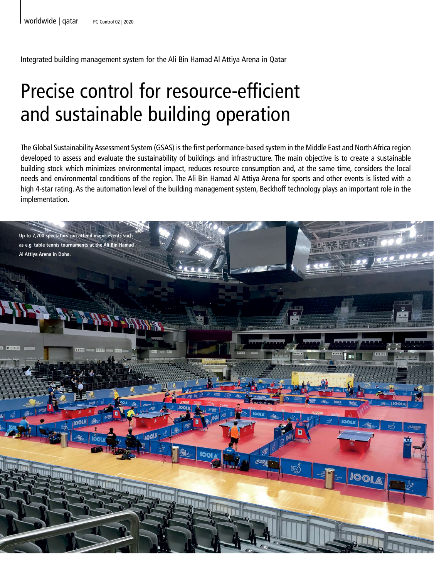Integrated building management system for the Ali Bin Hamad Al Attiya Arena in Qatar

## Precise control for resource-efficient and sustainable building operation

The Global Sustainability Assessment System (GSAS) is the first performance-based system in the Middle East and North Africa region developed to assess and evaluate the sustainability of buildings and infrastructure. The main objective is to create a sustainable building stock which minimizes environmental impact, reduces resource consumption and, at the same time, considers the local needs and environmental conditions of the region. The Ali Bin Hamad Al Attiya Arena for sports and other events is listed with a high 4-star rating. As the automation level of the building management system, Beckhoff technology plays an important role in the implementation.